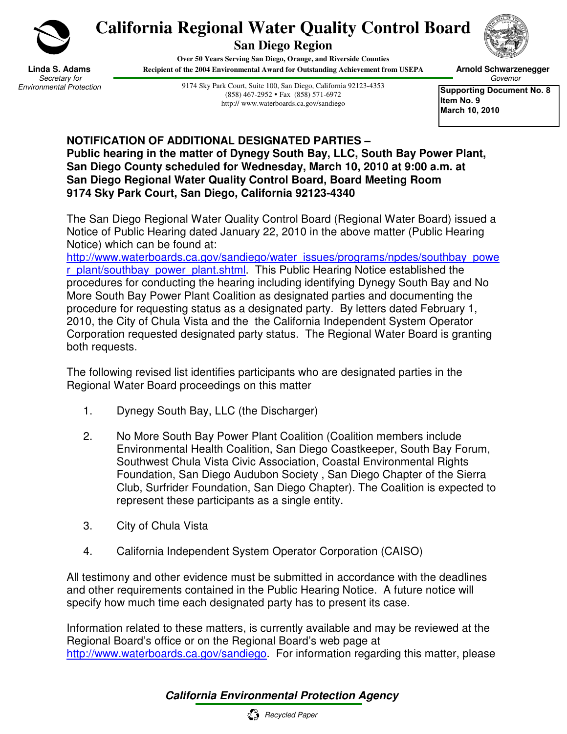

## **California Regional Water Quality Control Board**

**San Diego Region** 

**Over 50 Years Serving San Diego, Orange, and Riverside Counties Recipient of the 2004 Environmental Award for Outstanding Achievement from USEPA**



**Linda S. Adams** Secretary for Environmental Protection

9174 Sky Park Court, Suite 100, San Diego, California 92123-4353 (858) 467-2952 Fax (858) 571-6972 http:// www.waterboards.ca.gov/sandiego

Governor **Supporting Document No. 8 Item No. 9** 

 **Arnold Schwarzenegger**

**March 10, 2010** 

## **NOTIFICATION OF ADDITIONAL DESIGNATED PARTIES – Public hearing in the matter of Dynegy South Bay, LLC, South Bay Power Plant, San Diego County scheduled for Wednesday, March 10, 2010 at 9:00 a.m. at San Diego Regional Water Quality Control Board, Board Meeting Room 9174 Sky Park Court, San Diego, California 92123-4340**

The San Diego Regional Water Quality Control Board (Regional Water Board) issued a Notice of Public Hearing dated January 22, 2010 in the above matter (Public Hearing Notice) which can be found at:

http://www.waterboards.ca.gov/sandiego/water\_issues/programs/npdes/southbay\_powe r\_plant/southbay\_power\_plant.shtml. This Public Hearing Notice established the procedures for conducting the hearing including identifying Dynegy South Bay and No More South Bay Power Plant Coalition as designated parties and documenting the procedure for requesting status as a designated party. By letters dated February 1, 2010, the City of Chula Vista and the the California Independent System Operator Corporation requested designated party status. The Regional Water Board is granting both requests.

The following revised list identifies participants who are designated parties in the Regional Water Board proceedings on this matter

- 1. Dynegy South Bay, LLC (the Discharger)
- 2. No More South Bay Power Plant Coalition (Coalition members include Environmental Health Coalition, San Diego Coastkeeper, South Bay Forum, Southwest Chula Vista Civic Association, Coastal Environmental Rights Foundation, San Diego Audubon Society , San Diego Chapter of the Sierra Club, Surfrider Foundation, San Diego Chapter). The Coalition is expected to represent these participants as a single entity.
- 3. City of Chula Vista
- 4. California Independent System Operator Corporation (CAISO)

All testimony and other evidence must be submitted in accordance with the deadlines and other requirements contained in the Public Hearing Notice. A future notice will specify how much time each designated party has to present its case.

Information related to these matters, is currently available and may be reviewed at the Regional Board's office or on the Regional Board's web page at http://www.waterboards.ca.gov/sandiego. For information regarding this matter, please

## **California Environmental Protection Agency**